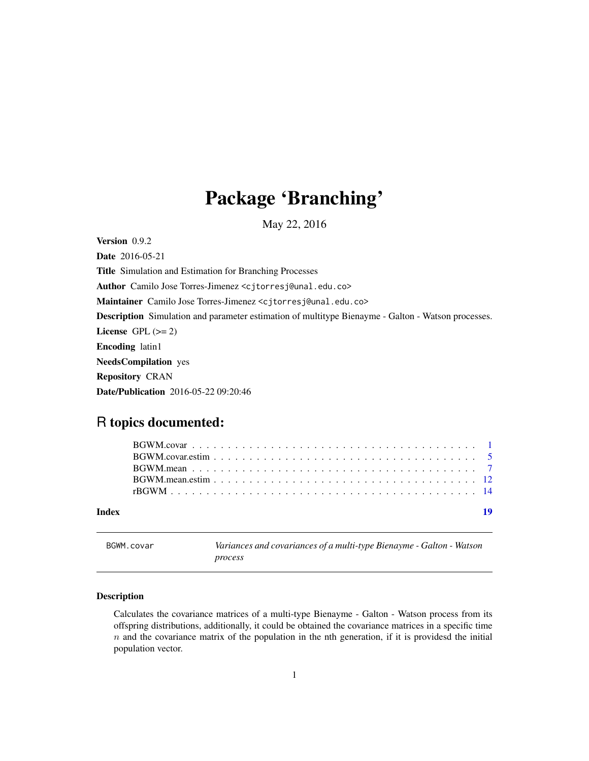## <span id="page-0-0"></span>Package 'Branching'

May 22, 2016

Version 0.9.2

Date 2016-05-21 Title Simulation and Estimation for Branching Processes Author Camilo Jose Torres-Jimenez <cjtorresj@unal.edu.co> Maintainer Camilo Jose Torres-Jimenez <cjtorresj@unal.edu.co> Description Simulation and parameter estimation of multitype Bienayme - Galton - Watson processes. License GPL  $(>= 2)$ Encoding latin1 NeedsCompilation yes Repository CRAN Date/Publication 2016-05-22 09:20:46

## R topics documented:

| Index |  |
|-------|--|

<span id="page-0-1"></span>

BGWM.covar *Variances and covariances of a multi-type Bienayme - Galton - Watson process*

#### Description

Calculates the covariance matrices of a multi-type Bienayme - Galton - Watson process from its offspring distributions, additionally, it could be obtained the covariance matrices in a specific time  $n$  and the covariance matrix of the population in the nth generation, if it is providesd the initial population vector.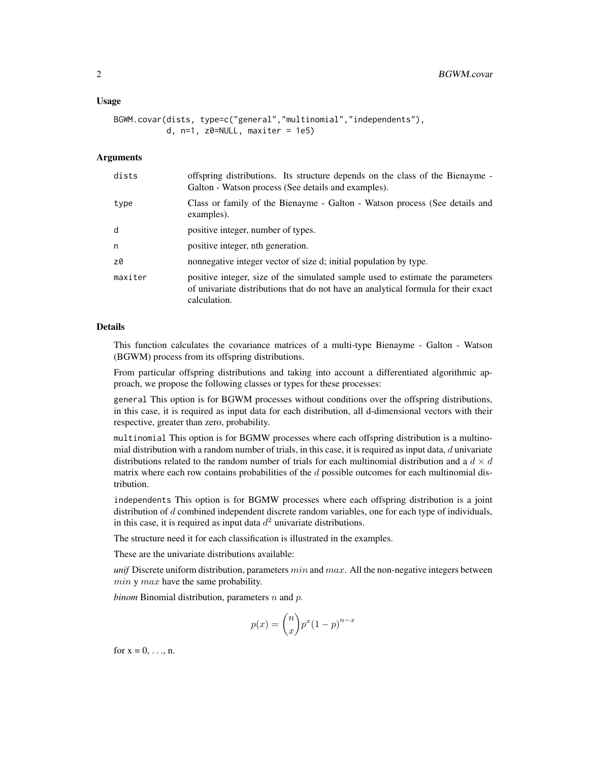#### Usage

```
BGWM.covar(dists, type=c("general","multinomial","independents"),
           d, n=1, z0=NULL, maxiter = 1e5)
```
#### **Arguments**

| dists   | offspring distributions. Its structure depends on the class of the Bienayme -<br>Galton - Watson process (See details and examples).                                                 |
|---------|--------------------------------------------------------------------------------------------------------------------------------------------------------------------------------------|
| type    | Class or family of the Bienayme - Galton - Watson process (See details and<br>examples).                                                                                             |
| d       | positive integer, number of types.                                                                                                                                                   |
| n       | positive integer, nth generation.                                                                                                                                                    |
| z0      | nonnegative integer vector of size d; initial population by type.                                                                                                                    |
| maxiter | positive integer, size of the simulated sample used to estimate the parameters<br>of univariate distributions that do not have an analytical formula for their exact<br>calculation. |

#### Details

This function calculates the covariance matrices of a multi-type Bienayme - Galton - Watson (BGWM) process from its offspring distributions.

From particular offspring distributions and taking into account a differentiated algorithmic approach, we propose the following classes or types for these processes:

general This option is for BGWM processes without conditions over the offspring distributions, in this case, it is required as input data for each distribution, all d-dimensional vectors with their respective, greater than zero, probability.

multinomial This option is for BGMW processes where each offspring distribution is a multinomial distribution with a random number of trials, in this case, it is required as input data,  $d$  univariate distributions related to the random number of trials for each multinomial distribution and a  $d \times d$ matrix where each row contains probabilities of the  $d$  possible outcomes for each multinomial distribution.

independents This option is for BGMW processes where each offspring distribution is a joint distribution of d combined independent discrete random variables, one for each type of individuals, in this case, it is required as input data  $d^2$  univariate distributions.

The structure need it for each classification is illustrated in the examples.

These are the univariate distributions available:

*unif* Discrete uniform distribution, parameters  $min$  and  $max$ . All the non-negative integers between  $min y max$  have the same probability.

*binom* Binomial distribution, parameters  $n$  and  $p$ .

$$
p(x) = \binom{n}{x} p^x (1-p)^{n-x}
$$

for  $x = 0, \ldots, n$ .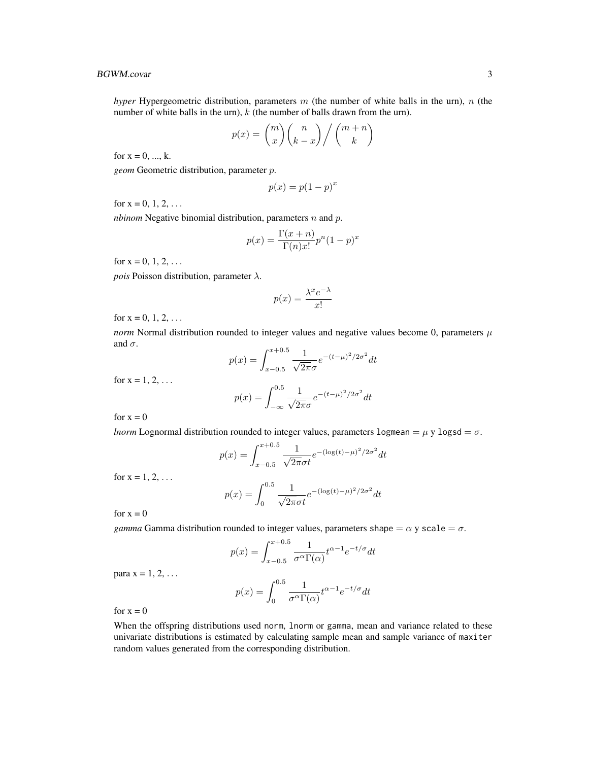#### BGWM.covar 3

*hyper* Hypergeometric distribution, parameters  $m$  (the number of white balls in the urn),  $n$  (the number of white balls in the urn),  $k$  (the number of balls drawn from the urn).

$$
p(x) = {m \choose x} {n \choose k-x} / {m+n \choose k}
$$

for  $x = 0, ..., k$ .

*geom* Geometric distribution, parameter p.

$$
p(x) = p(1 - p)^x
$$

for  $x = 0, 1, 2, ...$ 

*nbinom* Negative binomial distribution, parameters *n* and *p*.

$$
p(x) = \frac{\Gamma(x+n)}{\Gamma(n)x!} p^{n} (1-p)^{x}
$$

for  $x = 0, 1, 2, ...$ 

*pois* Poisson distribution, parameter  $\lambda$ .

$$
p(x) = \frac{\lambda^x e^{-\lambda}}{x!}
$$

for  $x = 0, 1, 2, ...$ 

*norm* Normal distribution rounded to integer values and negative values become 0, parameters  $\mu$ and  $\sigma$ .

$$
p(x) = \int_{x-0.5}^{x+0.5} \frac{1}{\sqrt{2\pi}\sigma} e^{-(t-\mu)^2/2\sigma^2} dt
$$

for  $x = 1, 2, ...$ 

$$
p(x) = \int_{-\infty}^{0.5} \frac{1}{\sqrt{2\pi}\sigma} e^{-(t-\mu)^2/2\sigma^2} dt
$$

for  $x = 0$ 

*lnorm* Lognormal distribution rounded to integer values, parameters logmean =  $\mu$  y logsd =  $\sigma$ .

$$
p(x) = \int_{x-0.5}^{x+0.5} \frac{1}{\sqrt{2\pi}\sigma t} e^{-(\log(t)-\mu)^2/2\sigma^2} dt
$$

for  $x = 1, 2, ...$ 

$$
p(x) = \int_0^{0.5} \frac{1}{\sqrt{2\pi}\sigma t} e^{-(\log(t) - \mu)^2/2\sigma^2} dt
$$

for  $x = 0$ 

*gamma* Gamma distribution rounded to integer values, parameters shape =  $\alpha$  y scale =  $\sigma$ .

$$
p(x) = \int_{x-0.5}^{x+0.5} \frac{1}{\sigma^{\alpha} \Gamma(\alpha)} t^{\alpha-1} e^{-t/\sigma} dt
$$

para  $x = 1, 2, \ldots$ 

$$
p(x) = \int_0^{0.5} \frac{1}{\sigma^{\alpha} \Gamma(\alpha)} t^{\alpha - 1} e^{-t/\sigma} dt
$$

for  $x = 0$ 

When the offspring distributions used norm, lnorm or gamma, mean and variance related to these univariate distributions is estimated by calculating sample mean and sample variance of maxiter random values generated from the corresponding distribution.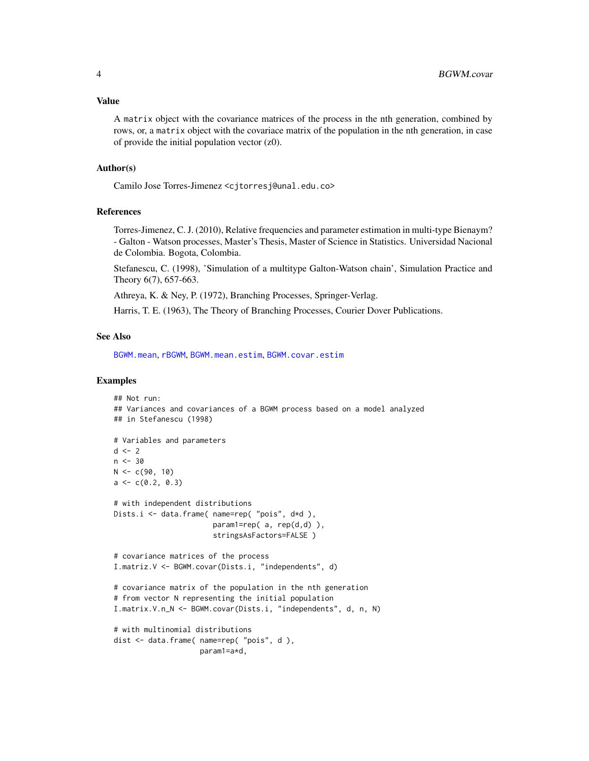<span id="page-3-0"></span>A matrix object with the covariance matrices of the process in the nth generation, combined by rows, or, a matrix object with the covariace matrix of the population in the nth generation, in case of provide the initial population vector (z0).

#### Author(s)

Camilo Jose Torres-Jimenez <cjtorresj@unal.edu.co>

#### References

Torres-Jimenez, C. J. (2010), Relative frequencies and parameter estimation in multi-type Bienaym? - Galton - Watson processes, Master's Thesis, Master of Science in Statistics. Universidad Nacional de Colombia. Bogota, Colombia.

Stefanescu, C. (1998), 'Simulation of a multitype Galton-Watson chain', Simulation Practice and Theory 6(7), 657-663.

Athreya, K. & Ney, P. (1972), Branching Processes, Springer-Verlag.

Harris, T. E. (1963), The Theory of Branching Processes, Courier Dover Publications.

#### See Also

[BGWM.mean](#page-6-1), [rBGWM](#page-13-1), [BGWM.mean.estim](#page-11-1), [BGWM.covar.estim](#page-4-1)

```
## Not run:
## Variances and covariances of a BGWM process based on a model analyzed
## in Stefanescu (1998)
# Variables and parameters
d \leq -2n < -30N < -c(90, 10)a \leftarrow c(0.2, 0.3)# with independent distributions
Dists.i <- data.frame( name=rep( "pois", d*d ),
                       param1=rep( a, rep(d,d) ),
                       stringsAsFactors=FALSE )
# covariance matrices of the process
I.matriz.V <- BGWM.covar(Dists.i, "independents", d)
# covariance matrix of the population in the nth generation
# from vector N representing the initial population
I.matrix.V.n_N <- BGWM.covar(Dists.i, "independents", d, n, N)
# with multinomial distributions
dist <- data.frame( name=rep( "pois", d ),
                    param1=a*d,
```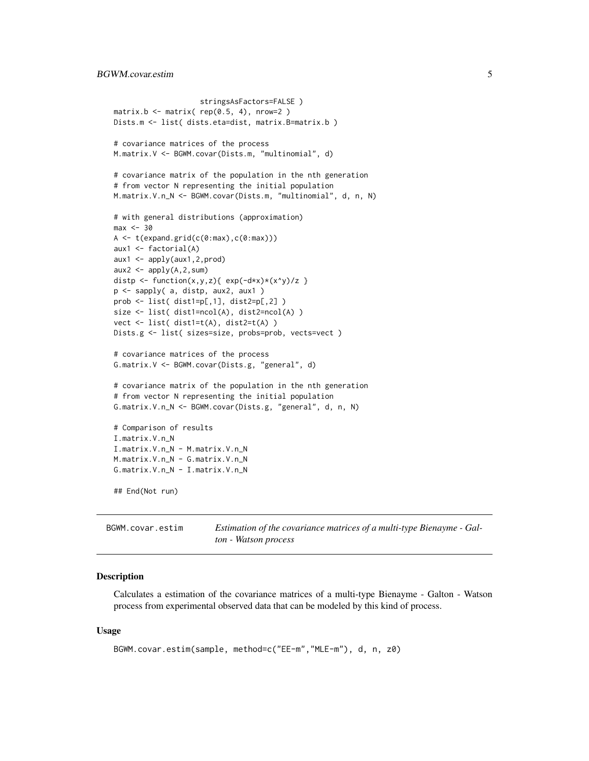```
stringsAsFactors=FALSE )
matrix.b \leq matrix( rep(0.5, 4), nrow=2)
Dists.m <- list( dists.eta=dist, matrix.B=matrix.b )
# covariance matrices of the process
M.matrix.V <- BGWM.covar(Dists.m, "multinomial", d)
# covariance matrix of the population in the nth generation
# from vector N representing the initial population
M.matrix.V.n_N <- BGWM.covar(Dists.m, "multinomial", d, n, N)
# with general distributions (approximation)
max < -30A \leftarrow t(expand.grid(c(0:max),c(0:max)))aux1 <- factorial(A)
aux1 <- apply(aux1,2,prod)
aux2 <- apply(A, 2, sum)distp <- function(x,y,z){ exp(-dx)(x^y)/z }
p <- sapply( a, distp, aux2, aux1 )
prob <- list( dist1=p[,1], dist2=p[,2] )
size <- list( dist1=ncol(A), dist2=ncol(A) )
vect <- list( dist1=t(A), dist2=t(A) )
Dists.g <- list( sizes=size, probs=prob, vects=vect )
# covariance matrices of the process
G.matrix.V <- BGWM.covar(Dists.g, "general", d)
# covariance matrix of the population in the nth generation
# from vector N representing the initial population
G.matrix.V.n_N <- BGWM.covar(Dists.g, "general", d, n, N)
# Comparison of results
I.matrix.V.n_N
I.matrix.V.n_N - M.matrix.V.n_N
M.matrix.V.n_N - G.matrix.V.n_N
G.matrix.V.n_N - I.matrix.V.n_N
## End(Not run)
```
<span id="page-4-1"></span>BGWM.covar.estim *Estimation of the covariance matrices of a multi-type Bienayme - Galton - Watson process*

#### Description

Calculates a estimation of the covariance matrices of a multi-type Bienayme - Galton - Watson process from experimental observed data that can be modeled by this kind of process.

#### Usage

```
BGWM.covar.estim(sample, method=c("EE-m","MLE-m"), d, n, z0)
```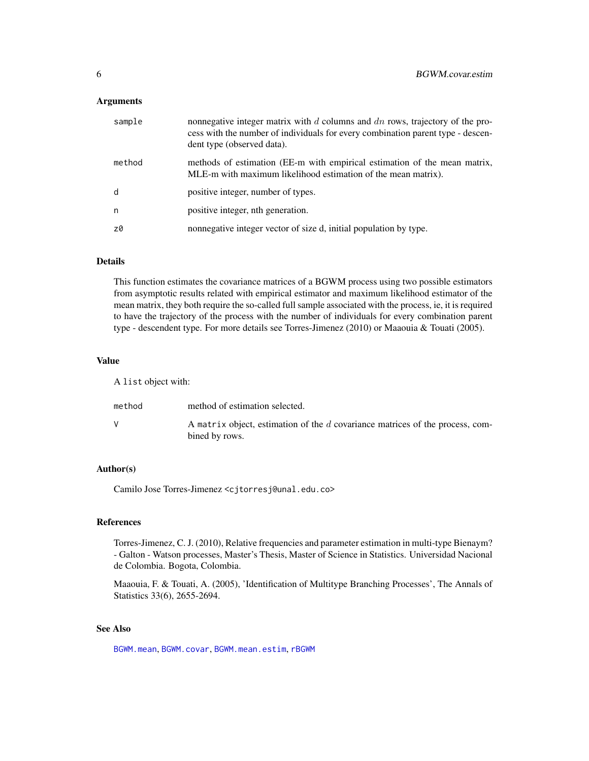#### <span id="page-5-0"></span>**Arguments**

| sample | nonnegative integer matrix with $d$ columns and $dn$ rows, trajectory of the pro-<br>cess with the number of individuals for every combination parent type - descen-<br>dent type (observed data). |
|--------|----------------------------------------------------------------------------------------------------------------------------------------------------------------------------------------------------|
| method | methods of estimation (EE-m with empirical estimation of the mean matrix,<br>MLE-m with maximum likelihood estimation of the mean matrix).                                                         |
| d      | positive integer, number of types.                                                                                                                                                                 |
| n      | positive integer, nth generation.                                                                                                                                                                  |
| z0     | nonnegative integer vector of size d, initial population by type.                                                                                                                                  |

#### Details

This function estimates the covariance matrices of a BGWM process using two possible estimators from asymptotic results related with empirical estimator and maximum likelihood estimator of the mean matrix, they both require the so-called full sample associated with the process, ie, it is required to have the trajectory of the process with the number of individuals for every combination parent type - descendent type. For more details see Torres-Jimenez (2010) or Maaouia & Touati (2005).

#### Value

A list object with:

| method | method of estimation selected.                                                                  |
|--------|-------------------------------------------------------------------------------------------------|
|        | A matrix object, estimation of the d covariance matrices of the process, com-<br>bined by rows. |

#### Author(s)

Camilo Jose Torres-Jimenez <cjtorresj@unal.edu.co>

#### References

Torres-Jimenez, C. J. (2010), Relative frequencies and parameter estimation in multi-type Bienaym? - Galton - Watson processes, Master's Thesis, Master of Science in Statistics. Universidad Nacional de Colombia. Bogota, Colombia.

Maaouia, F. & Touati, A. (2005), 'Identification of Multitype Branching Processes', The Annals of Statistics 33(6), 2655-2694.

#### See Also

[BGWM.mean](#page-6-1), [BGWM.covar](#page-0-1), [BGWM.mean.estim](#page-11-1), [rBGWM](#page-13-1)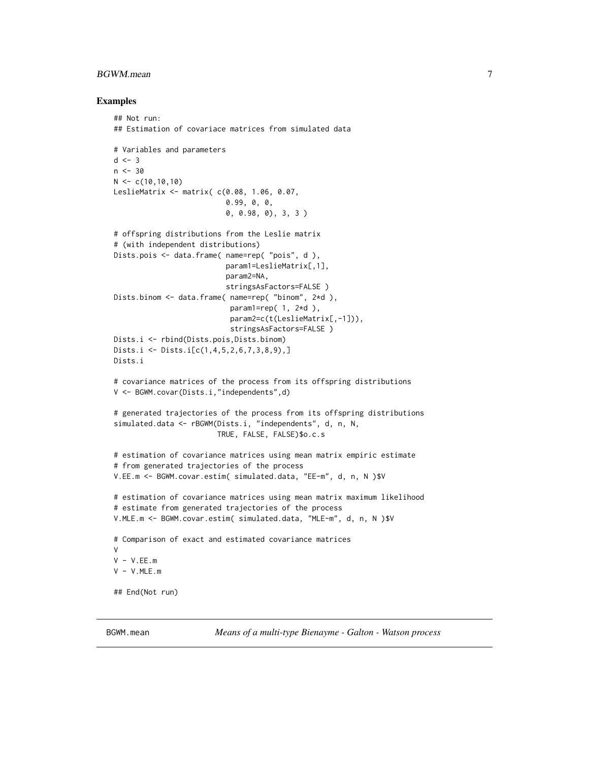#### <span id="page-6-0"></span>BGWM.mean 7

#### Examples

```
## Not run:
## Estimation of covariace matrices from simulated data
# Variables and parameters
d \le -3n < -30N < -c(10,10,10)LeslieMatrix <- matrix( c(0.08, 1.06, 0.07,
                          0.99, 0, 0,
                          0, 0.98, 0), 3, 3 )
# offspring distributions from the Leslie matrix
# (with independent distributions)
Dists.pois <- data.frame( name=rep( "pois", d ),
                          param1=LeslieMatrix[,1],
                          param2=NA,
                          stringsAsFactors=FALSE )
Dists.binom <- data.frame( name=rep( "binom", 2*d ),
                           param1=rep( 1, 2*d ),
                           param2=c(t(LeslieMatrix[,-1])),
                           stringsAsFactors=FALSE )
Dists.i <- rbind(Dists.pois,Dists.binom)
Dists.i <- Dists.i[c(1,4,5,2,6,7,3,8,9),]
Dists.i
# covariance matrices of the process from its offspring distributions
V <- BGWM.covar(Dists.i,"independents",d)
# generated trajectories of the process from its offspring distributions
simulated.data <- rBGWM(Dists.i, "independents", d, n, N,
                        TRUE, FALSE, FALSE)$o.c.s
# estimation of covariance matrices using mean matrix empiric estimate
# from generated trajectories of the process
V.EE.m <- BGWM.covar.estim( simulated.data, "EE-m", d, n, N )$V
# estimation of covariance matrices using mean matrix maximum likelihood
# estimate from generated trajectories of the process
V.MLE.m <- BGWM.covar.estim( simulated.data, "MLE-m", d, n, N )$V
# Comparison of exact and estimated covariance matrices
V
V - V.EE.mV - V.MLE.m## End(Not run)
```
<span id="page-6-1"></span>BGWM.mean *Means of a multi-type Bienayme - Galton - Watson process*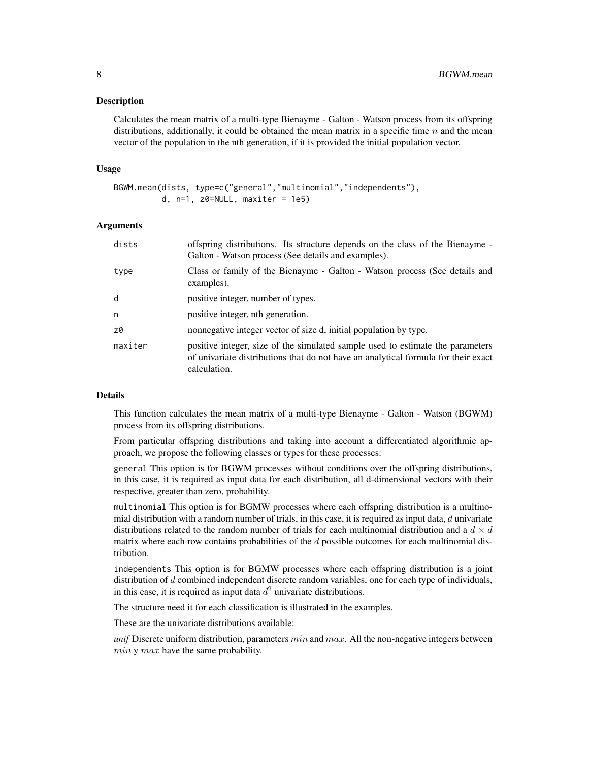#### Description

Calculates the mean matrix of a multi-type Bienayme - Galton - Watson process from its offspring distributions, additionally, it could be obtained the mean matrix in a specific time  $n$  and the mean vector of the population in the nth generation, if it is provided the initial population vector.

#### Usage

```
BGWM.mean(dists, type=c("general","multinomial","independents"),
          d, n=1, z0=NULL, maxiter = 1e5)
```
#### Arguments

| offspring distributions. Its structure depends on the class of the Bienayme -<br>Galton - Watson process (See details and examples).                                                 |
|--------------------------------------------------------------------------------------------------------------------------------------------------------------------------------------|
| Class or family of the Bienayme - Galton - Watson process (See details and<br>examples).                                                                                             |
| positive integer, number of types.                                                                                                                                                   |
| positive integer, nth generation.                                                                                                                                                    |
| nonnegative integer vector of size d, initial population by type.                                                                                                                    |
| positive integer, size of the simulated sample used to estimate the parameters<br>of univariate distributions that do not have an analytical formula for their exact<br>calculation. |
|                                                                                                                                                                                      |

#### Details

This function calculates the mean matrix of a multi-type Bienayme - Galton - Watson (BGWM) process from its offspring distributions.

From particular offspring distributions and taking into account a differentiated algorithmic approach, we propose the following classes or types for these processes:

general This option is for BGWM processes without conditions over the offspring distributions, in this case, it is required as input data for each distribution, all d-dimensional vectors with their respective, greater than zero, probability.

multinomial This option is for BGMW processes where each offspring distribution is a multinomial distribution with a random number of trials, in this case, it is required as input data,  $d$  univariate distributions related to the random number of trials for each multinomial distribution and a  $d \times d$ matrix where each row contains probabilities of the d possible outcomes for each multinomial distribution.

independents This option is for BGMW processes where each offspring distribution is a joint distribution of d combined independent discrete random variables, one for each type of individuals, in this case, it is required as input data  $d^2$  univariate distributions.

The structure need it for each classification is illustrated in the examples.

These are the univariate distributions available:

*unif* Discrete uniform distribution, parameters  $min$  and  $max$ . All the non-negative integers between  $min y max$  have the same probability.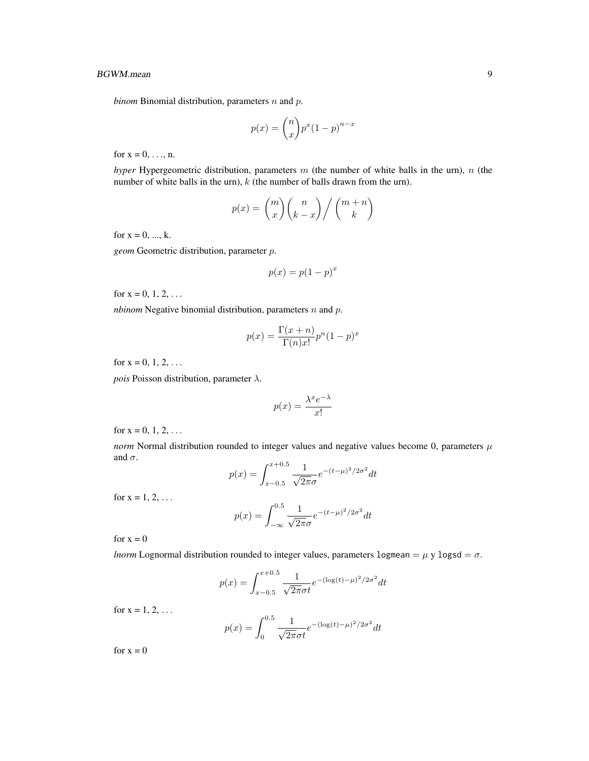*binom* Binomial distribution, parameters  $n$  and  $p$ .

$$
p(x) = {n \choose x} p^x (1-p)^{n-x}
$$

for  $x = 0, \ldots, n$ .

*hyper* Hypergeometric distribution, parameters m (the number of white balls in the urn), n (the number of white balls in the urn),  $k$  (the number of balls drawn from the urn).

$$
p(x) = {m \choose x} {n \choose k-x} / {m+n \choose k}
$$

for  $x = 0, ..., k$ .

*geom* Geometric distribution, parameter p.

$$
p(x) = p(1 - p)^x
$$

for  $x = 0, 1, 2, ...$ 

*nbinom* Negative binomial distribution, parameters  $n$  and  $p$ .

$$
p(x) = \frac{\Gamma(x+n)}{\Gamma(n)x!}p^{n}(1-p)^{x}
$$

for  $x = 0, 1, 2, ...$ 

*pois* Poisson distribution, parameter  $\lambda$ .

$$
p(x) = \frac{\lambda^x e^{-\lambda}}{x!}
$$

for  $x = 0, 1, 2, ...$ 

*norm* Normal distribution rounded to integer values and negative values become 0, parameters  $\mu$ and  $\sigma$ .

$$
p(x) = \int_{x-0.5}^{x+0.5} \frac{1}{\sqrt{2\pi}\sigma} e^{-(t-\mu)^2/2\sigma^2} dt
$$

for  $x = 1, 2, ...$ 

$$
p(x) = \int_{-\infty}^{0.5} \frac{1}{\sqrt{2\pi}\sigma} e^{-(t-\mu)^2/2\sigma^2} dt
$$

for  $x = 0$ 

*lnorm* Lognormal distribution rounded to integer values, parameters logmean =  $\mu$  y logsd =  $\sigma$ .

$$
p(x) = \int_{x-0.5}^{x+0.5} \frac{1}{\sqrt{2\pi}\sigma t} e^{-(\log(t)-\mu)^2/2\sigma^2} dt
$$

for  $x = 1, 2, ...$ 

$$
p(x) = \int_0^{0.5} \frac{1}{\sqrt{2\pi}\sigma t} e^{-(\log(t) - \mu)^2/2\sigma^2} dt
$$

for  $x = 0$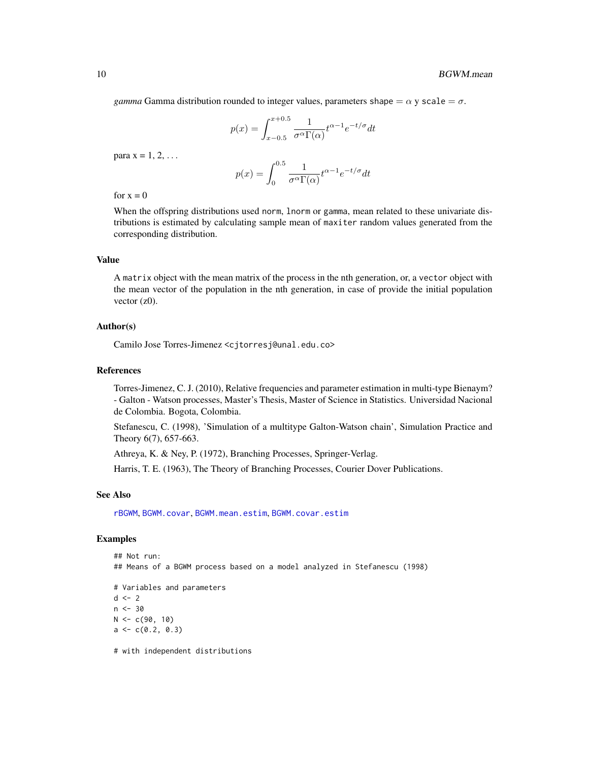<span id="page-9-0"></span>*gamma* Gamma distribution rounded to integer values, parameters shape  $= \alpha$  y scale  $= \sigma$ .

$$
p(x) = \int_{x-0.5}^{x+0.5} \frac{1}{\sigma^{\alpha} \Gamma(\alpha)} t^{\alpha-1} e^{-t/\sigma} dt
$$

para  $x = 1, 2, \ldots$ 

$$
p(x) = \int_0^{0.5} \frac{1}{\sigma^{\alpha} \Gamma(\alpha)} t^{\alpha - 1} e^{-t/\sigma} dt
$$

for  $x = 0$ 

When the offspring distributions used norm, lnorm or gamma, mean related to these univariate distributions is estimated by calculating sample mean of maxiter random values generated from the corresponding distribution.

#### Value

A matrix object with the mean matrix of the process in the nth generation, or, a vector object with the mean vector of the population in the nth generation, in case of provide the initial population vector  $(z0)$ .

#### Author(s)

Camilo Jose Torres-Jimenez <cjtorresj@unal.edu.co>

#### References

Torres-Jimenez, C. J. (2010), Relative frequencies and parameter estimation in multi-type Bienaym? - Galton - Watson processes, Master's Thesis, Master of Science in Statistics. Universidad Nacional de Colombia. Bogota, Colombia.

Stefanescu, C. (1998), 'Simulation of a multitype Galton-Watson chain', Simulation Practice and Theory 6(7), 657-663.

Athreya, K. & Ney, P. (1972), Branching Processes, Springer-Verlag.

Harris, T. E. (1963), The Theory of Branching Processes, Courier Dover Publications.

#### See Also

[rBGWM](#page-13-1), [BGWM.covar](#page-0-1), [BGWM.mean.estim](#page-11-1), [BGWM.covar.estim](#page-4-1)

```
## Not run:
## Means of a BGWM process based on a model analyzed in Stefanescu (1998)
# Variables and parameters
d \le -2n < -30N < -c(90, 10)a \leftarrow c(0.2, 0.3)# with independent distributions
```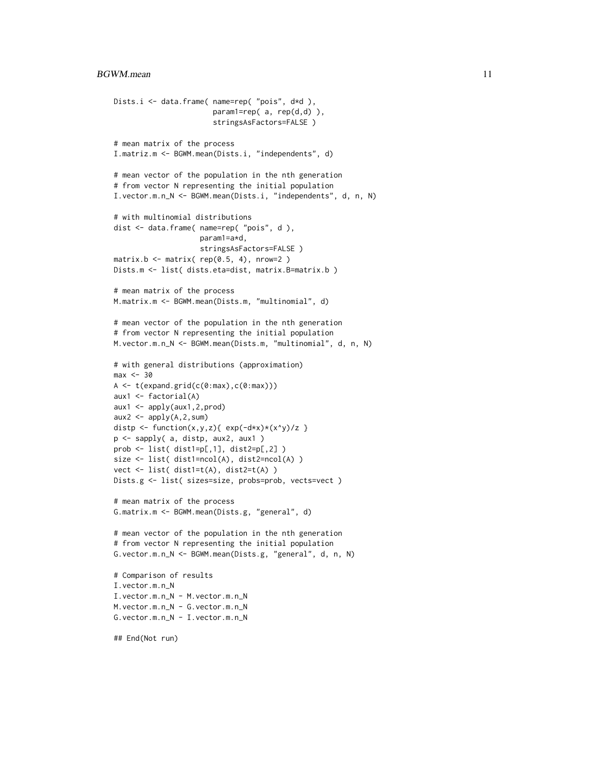```
Dists.i <- data.frame( name=rep( "pois", d*d ),
                       param1=rep( a, rep(d,d) ),
                       stringsAsFactors=FALSE )
# mean matrix of the process
I.matriz.m <- BGWM.mean(Dists.i, "independents", d)
# mean vector of the population in the nth generation
# from vector N representing the initial population
I.vector.m.n_N <- BGWM.mean(Dists.i, "independents", d, n, N)
# with multinomial distributions
dist <- data.frame( name=rep( "pois", d ),
                    param1=a*d,
                    stringsAsFactors=FALSE )
matrix.b \leftarrow matrix( rep(0.5, 4), nrow=2)Dists.m <- list( dists.eta=dist, matrix.B=matrix.b )
# mean matrix of the process
M.matrix.m <- BGWM.mean(Dists.m, "multinomial", d)
# mean vector of the population in the nth generation
# from vector N representing the initial population
M.vector.m.n_N <- BGWM.mean(Dists.m, "multinomial", d, n, N)
# with general distributions (approximation)
max < -30A \leftarrow t(expand.grid(c(0:max),c(0:max)))aux1 <- factorial(A)
aux1 <- apply(aux1,2,prod)
aux2 \leq apply(A, 2, sum)
distp <- function(x,y,z){ exp(-dx x) * (x<sup>2</sup>y)/z }
p <- sapply( a, distp, aux2, aux1 )
prob <- list( dist1=p[,1], dist2=p[,2] )
size <- list( dist1=ncol(A), dist2=ncol(A) )
vect <- list( dist1=t(A), dist2=t(A) )
Dists.g <- list( sizes=size, probs=prob, vects=vect )
# mean matrix of the process
G.matrix.m <- BGWM.mean(Dists.g, "general", d)
# mean vector of the population in the nth generation
# from vector N representing the initial population
G.vector.m.n_N <- BGWM.mean(Dists.g, "general", d, n, N)
# Comparison of results
I.vector.m.n_N
I.vector.m.n_N - M.vector.m.n_N
M.vector.m.n_N - G.vector.m.n_N
G.vector.m.n_N - I.vector.m.n_N
## End(Not run)
```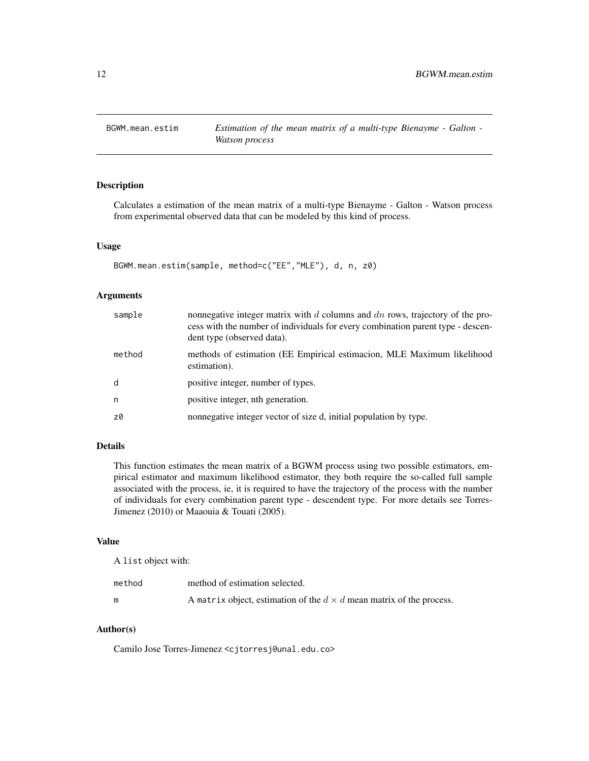<span id="page-11-1"></span><span id="page-11-0"></span>

#### Description

Calculates a estimation of the mean matrix of a multi-type Bienayme - Galton - Watson process from experimental observed data that can be modeled by this kind of process.

#### Usage

```
BGWM.mean.estim(sample, method=c("EE","MLE"), d, n, z0)
```
#### Arguments

| sample | nonnegative integer matrix with $d$ columns and $dn$ rows, trajectory of the pro-<br>cess with the number of individuals for every combination parent type - descen-<br>dent type (observed data). |
|--------|----------------------------------------------------------------------------------------------------------------------------------------------------------------------------------------------------|
| method | methods of estimation (EE Empirical estimacion, MLE Maximum likelihood<br>estimation).                                                                                                             |
| d      | positive integer, number of types.                                                                                                                                                                 |
| n      | positive integer, nth generation.                                                                                                                                                                  |
| z0     | nonnegative integer vector of size d, initial population by type.                                                                                                                                  |

#### Details

This function estimates the mean matrix of a BGWM process using two possible estimators, empirical estimator and maximum likelihood estimator, they both require the so-called full sample associated with the process, ie, it is required to have the trajectory of the process with the number of individuals for every combination parent type - descendent type. For more details see Torres-Jimenez (2010) or Maaouia & Touati (2005).

#### Value

A list object with:

| method | method of estimation selected.                                              |
|--------|-----------------------------------------------------------------------------|
|        | A matrix object, estimation of the $d \times d$ mean matrix of the process. |

#### Author(s)

Camilo Jose Torres-Jimenez <cjtorresj@unal.edu.co>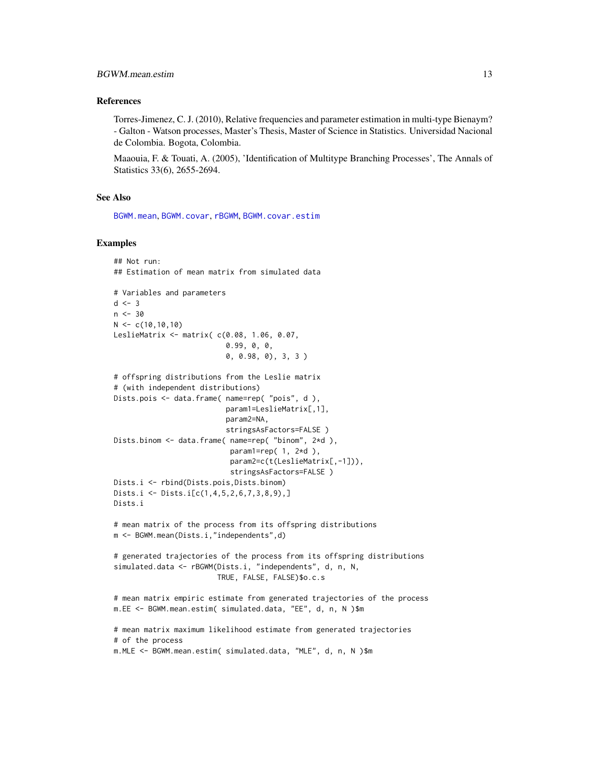#### <span id="page-12-0"></span>References

Torres-Jimenez, C. J. (2010), Relative frequencies and parameter estimation in multi-type Bienaym? - Galton - Watson processes, Master's Thesis, Master of Science in Statistics. Universidad Nacional de Colombia. Bogota, Colombia.

Maaouia, F. & Touati, A. (2005), 'Identification of Multitype Branching Processes', The Annals of Statistics 33(6), 2655-2694.

#### See Also

[BGWM.mean](#page-6-1), [BGWM.covar](#page-0-1), [rBGWM](#page-13-1), [BGWM.covar.estim](#page-4-1)

```
## Not run:
## Estimation of mean matrix from simulated data
# Variables and parameters
d \leq -3n < -30N < -c(10,10,10)LeslieMatrix <- matrix( c(0.08, 1.06, 0.07,
                          0.99, 0, 0,
                          0, 0.98, 0), 3, 3 )
# offspring distributions from the Leslie matrix
# (with independent distributions)
Dists.pois <- data.frame( name=rep( "pois", d),
                          param1=LeslieMatrix[,1],
                          param2=NA,
                          stringsAsFactors=FALSE )
Dists.binom <- data.frame( name=rep( "binom", 2*d ),
                           param1=rep(1, 2*d),
                           param2=c(t(LeslieMatrix[,-1])),
                           stringsAsFactors=FALSE )
Dists.i <- rbind(Dists.pois,Dists.binom)
Dists.i <- Dists.i[c(1,4,5,2,6,7,3,8,9),]
Dists.i
# mean matrix of the process from its offspring distributions
m <- BGWM.mean(Dists.i,"independents",d)
# generated trajectories of the process from its offspring distributions
simulated.data <- rBGWM(Dists.i, "independents", d, n, N,
                        TRUE, FALSE, FALSE)$o.c.s
# mean matrix empiric estimate from generated trajectories of the process
m.EE <- BGWM.mean.estim( simulated.data, "EE", d, n, N )$m
# mean matrix maximum likelihood estimate from generated trajectories
# of the process
m.MLE <- BGWM.mean.estim( simulated.data, "MLE", d, n, N )$m
```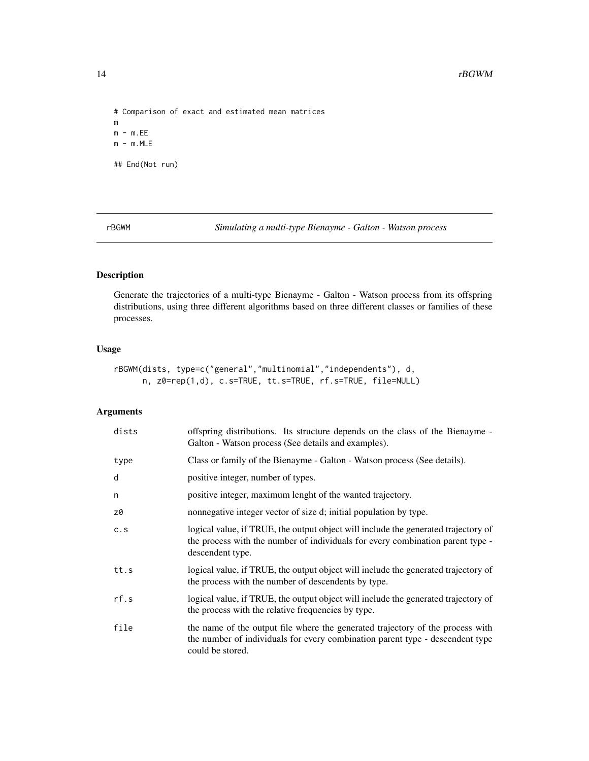```
# Comparison of exact and estimated mean matrices
\mathsf mm - m.EEm - m.MLE## End(Not run)
```
<span id="page-13-1"></span>rBGWM *Simulating a multi-type Bienayme - Galton - Watson process*

## Description

Generate the trajectories of a multi-type Bienayme - Galton - Watson process from its offspring distributions, using three different algorithms based on three different classes or families of these processes.

## Usage

```
rBGWM(dists, type=c("general","multinomial","independents"), d,
     n, z0=rep(1,d), c.s=TRUE, tt.s=TRUE, rf.s=TRUE, file=NULL)
```
#### Arguments

| dists | offspring distributions. Its structure depends on the class of the Bienayme -<br>Galton - Watson process (See details and examples).                                                     |
|-------|------------------------------------------------------------------------------------------------------------------------------------------------------------------------------------------|
| type  | Class or family of the Bienayme - Galton - Watson process (See details).                                                                                                                 |
| d     | positive integer, number of types.                                                                                                                                                       |
| n     | positive integer, maximum lenght of the wanted trajectory.                                                                                                                               |
| z0    | nonnegative integer vector of size d; initial population by type.                                                                                                                        |
| C.S   | logical value, if TRUE, the output object will include the generated trajectory of<br>the process with the number of individuals for every combination parent type -<br>descendent type. |
| tt.s  | logical value, if TRUE, the output object will include the generated trajectory of<br>the process with the number of descendents by type.                                                |
| rf.s  | logical value, if TRUE, the output object will include the generated trajectory of<br>the process with the relative frequencies by type.                                                 |
| file  | the name of the output file where the generated trajectory of the process with<br>the number of individuals for every combination parent type - descendent type<br>could be stored.      |

<span id="page-13-0"></span>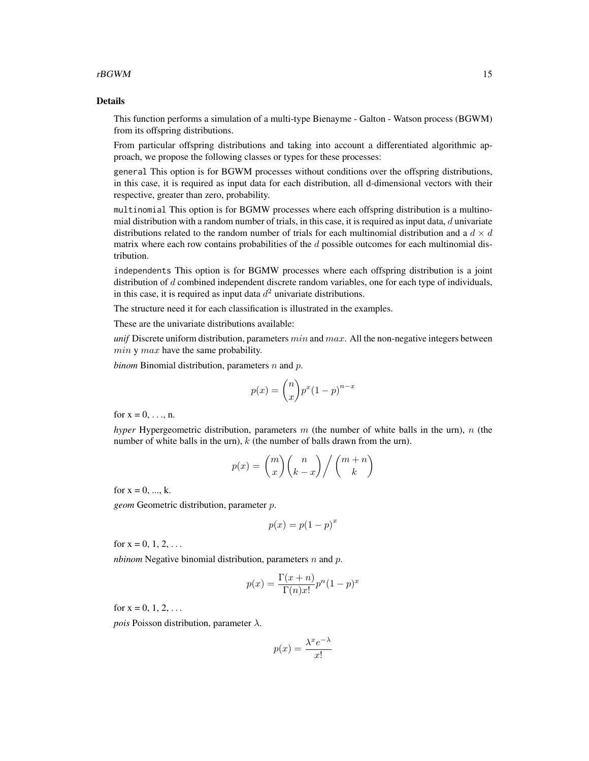#### $rB GWM$  15

#### Details

This function performs a simulation of a multi-type Bienayme - Galton - Watson process (BGWM) from its offspring distributions.

From particular offspring distributions and taking into account a differentiated algorithmic approach, we propose the following classes or types for these processes:

general This option is for BGWM processes without conditions over the offspring distributions, in this case, it is required as input data for each distribution, all d-dimensional vectors with their respective, greater than zero, probability.

multinomial This option is for BGMW processes where each offspring distribution is a multinomial distribution with a random number of trials, in this case, it is required as input data,  $d$  univariate distributions related to the random number of trials for each multinomial distribution and a  $d \times d$ matrix where each row contains probabilities of the d possible outcomes for each multinomial distribution.

independents This option is for BGMW processes where each offspring distribution is a joint distribution of d combined independent discrete random variables, one for each type of individuals, in this case, it is required as input data  $d^2$  univariate distributions.

The structure need it for each classification is illustrated in the examples.

These are the univariate distributions available:

*unif* Discrete uniform distribution, parameters  $min$  and  $max$ . All the non-negative integers between  $min \, y \, max$  have the same probability.

*binom* Binomial distribution, parameters n and p.

$$
p(x) = \binom{n}{x} p^x (1-p)^{n-x}
$$

for  $x = 0, \ldots, n$ .

*hyper* Hypergeometric distribution, parameters m (the number of white balls in the urn), n (the number of white balls in the urn),  $k$  (the number of balls drawn from the urn).

$$
p(x) = {m \choose x} {n \choose k-x} / {m+n \choose k}
$$

for  $x = 0, ..., k$ .

*geom* Geometric distribution, parameter p.

$$
p(x) = p(1 - p)^x
$$

for  $x = 0, 1, 2, ...$ 

*nbinom* Negative binomial distribution, parameters  $n$  and  $p$ .

$$
p(x) = \frac{\Gamma(x+n)}{\Gamma(n)x!} p^n (1-p)^x
$$

for  $x = 0, 1, 2, ...$ 

*pois* Poisson distribution, parameter  $\lambda$ .

$$
p(x) = \frac{\lambda^x e^{-\lambda}}{x!}
$$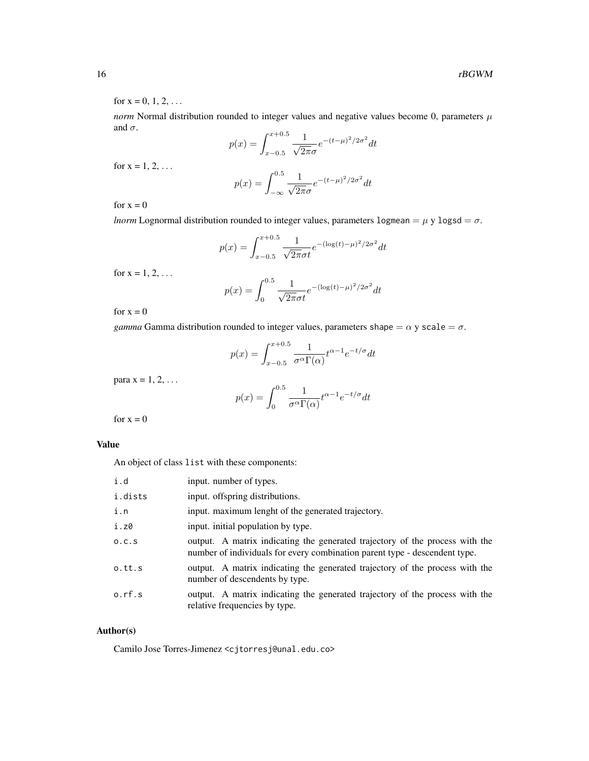for  $x = 0, 1, 2, ...$ 

*norm* Normal distribution rounded to integer values and negative values become 0, parameters  $\mu$ and  $\sigma$ .

$$
p(x) = \int_{x-0.5}^{x+0.5} \frac{1}{\sqrt{2\pi}\sigma} e^{-(t-\mu)^2/2\sigma^2} dt
$$

for  $x = 1, 2, ...$ 

$$
p(x) = \int_{-\infty}^{0.5} \frac{1}{\sqrt{2\pi}\sigma} e^{-(t-\mu)^2/2\sigma^2} dt
$$

for  $x = 0$ 

*lnorm* Lognormal distribution rounded to integer values, parameters logmean =  $\mu$  y logsd =  $\sigma$ .

$$
p(x) = \int_{x-0.5}^{x+0.5} \frac{1}{\sqrt{2\pi}\sigma t} e^{-(\log(t)-\mu)^2/2\sigma^2} dt
$$

for  $x = 1, 2, ...$ 

$$
p(x) = \int_0^{0.5} \frac{1}{\sqrt{2\pi}\sigma t} e^{-(\log(t) - \mu)^2/2\sigma^2} dt
$$

for  $x = 0$ 

*gamma* Gamma distribution rounded to integer values, parameters shape =  $\alpha$  y scale =  $\sigma$ .

$$
p(x) = \int_{x-0.5}^{x+0.5} \frac{1}{\sigma^{\alpha} \Gamma(\alpha)} t^{\alpha-1} e^{-t/\sigma} dt
$$

para  $x = 1, 2, \ldots$ 

$$
p(x) = \int_0^{0.5} \frac{1}{\sigma^{\alpha} \Gamma(\alpha)} t^{\alpha - 1} e^{-t/\sigma} dt
$$

for  $x = 0$ 

## Value

An object of class list with these components:

| i.d     | input. number of types.                                                                                                                                    |
|---------|------------------------------------------------------------------------------------------------------------------------------------------------------------|
| i.dists | input. offspring distributions.                                                                                                                            |
| i.n     | input. maximum lenght of the generated trajectory.                                                                                                         |
| i.z0    | input. initial population by type.                                                                                                                         |
| 0.C.S   | output. A matrix indicating the generated trajectory of the process with the<br>number of individuals for every combination parent type - descendent type. |
| o.tt.s  | output. A matrix indicating the generated trajectory of the process with the<br>number of descendents by type.                                             |
| 0.rf.s  | output. A matrix indicating the generated trajectory of the process with the<br>relative frequencies by type.                                              |

#### Author(s)

Camilo Jose Torres-Jimenez <cjtorresj@unal.edu.co>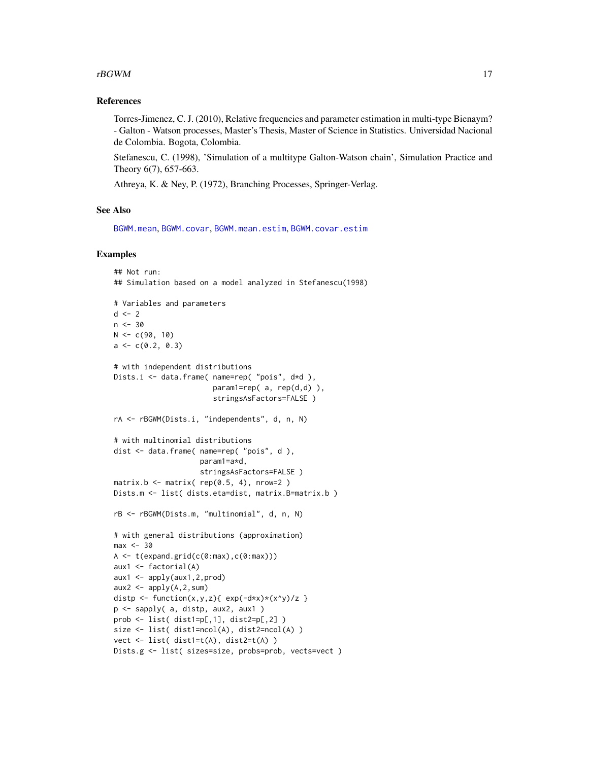#### <span id="page-16-0"></span> $rB GWM$  17

#### References

Torres-Jimenez, C. J. (2010), Relative frequencies and parameter estimation in multi-type Bienaym? - Galton - Watson processes, Master's Thesis, Master of Science in Statistics. Universidad Nacional de Colombia. Bogota, Colombia.

Stefanescu, C. (1998), 'Simulation of a multitype Galton-Watson chain', Simulation Practice and Theory 6(7), 657-663.

Athreya, K. & Ney, P. (1972), Branching Processes, Springer-Verlag.

#### See Also

[BGWM.mean](#page-6-1), [BGWM.covar](#page-0-1), [BGWM.mean.estim](#page-11-1), [BGWM.covar.estim](#page-4-1)

```
## Not run:
## Simulation based on a model analyzed in Stefanescu(1998)
# Variables and parameters
d \leq -2n < -30N < -c(90, 10)a \leftarrow c(0.2, 0.3)# with independent distributions
Dists.i <- data.frame( name=rep( "pois", d*d ),
                       param1=rep( a, rep(d,d) ),
                        stringsAsFactors=FALSE )
rA <- rBGWM(Dists.i, "independents", d, n, N)
# with multinomial distributions
dist <- data.frame( name=rep( "pois", d),
                     param1=a*d,
                     stringsAsFactors=FALSE )
matrix.b \leq matrix( rep(0.5, 4), nrow=2)
Dists.m <- list( dists.eta=dist, matrix.B=matrix.b )
rB <- rBGWM(Dists.m, "multinomial", d, n, N)
# with general distributions (approximation)
max < -30A <- t(expand.grid(c(0:max),c(0:max)))
aux1 <- factorial(A)
aux1 <- apply(aux1,2,prod)
aux2 \leq apply(A, 2, sum)
distp <- function(x,y,z){ exp(-dx x) * (x<sup>2</sup>y)/z }
p <- sapply( a, distp, aux2, aux1 )
prob <- list( dist1=p[,1], dist2=p[,2] )
size <- list( dist1=ncol(A), dist2=ncol(A) )
vect <- list( dist1=t(A), dist2=t(A) )
Dists.g <- list( sizes=size, probs=prob, vects=vect )
```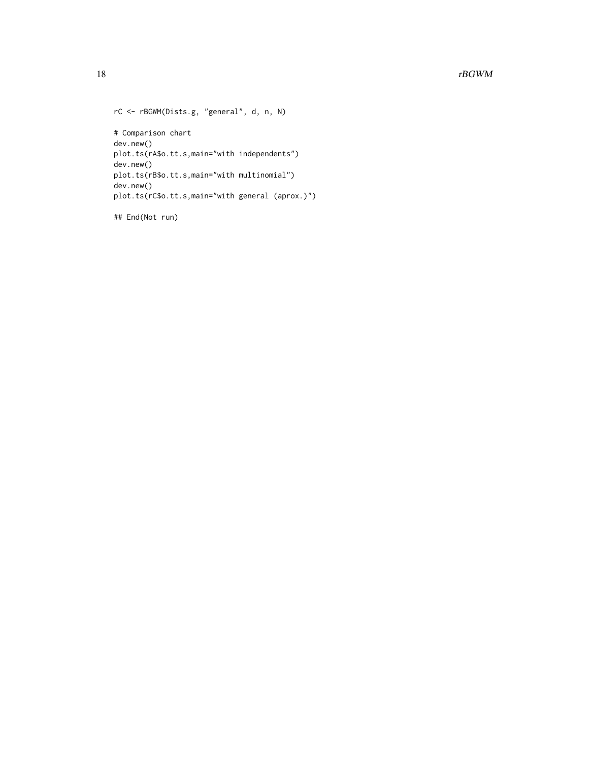```
rC <- rBGWM(Dists.g, "general", d, n, N)
# Comparison chart
dev.new()
plot.ts(rA$o.tt.s,main="with independents")
dev.new()
plot.ts(rB$o.tt.s,main="with multinomial")
dev.new()
plot.ts(rC$o.tt.s,main="with general (aprox.)")
```
## End(Not run)